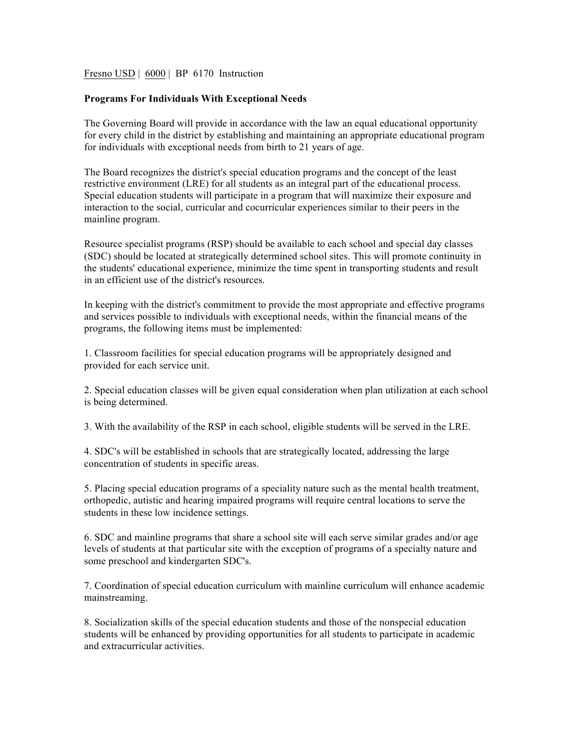## Fresno USD | 6000 | BP 6170 Instruction

## **Programs For Individuals With Exceptional Needs**

The Governing Board will provide in accordance with the law an equal educational opportunity for every child in the district by establishing and maintaining an appropriate educational program for individuals with exceptional needs from birth to 21 years of age.

The Board recognizes the district's special education programs and the concept of the least restrictive environment (LRE) for all students as an integral part of the educational process. Special education students will participate in a program that will maximize their exposure and interaction to the social, curricular and cocurricular experiences similar to their peers in the mainline program.

Resource specialist programs (RSP) should be available to each school and special day classes (SDC) should be located at strategically determined school sites. This will promote continuity in the students' educational experience, minimize the time spent in transporting students and result in an efficient use of the district's resources.

In keeping with the district's commitment to provide the most appropriate and effective programs and services possible to individuals with exceptional needs, within the financial means of the programs, the following items must be implemented:

1. Classroom facilities for special education programs will be appropriately designed and provided for each service unit.

2. Special education classes will be given equal consideration when plan utilization at each school is being determined.

3. With the availability of the RSP in each school, eligible students will be served in the LRE.

4. SDC's will be established in schools that are strategically located, addressing the large concentration of students in specific areas.

5. Placing special education programs of a speciality nature such as the mental health treatment, orthopedic, autistic and hearing impaired programs will require central locations to serve the students in these low incidence settings.

6. SDC and mainline programs that share a school site will each serve similar grades and/or age levels of students at that particular site with the exception of programs of a specialty nature and some preschool and kindergarten SDC's.

7. Coordination of special education curriculum with mainline curriculum will enhance academic mainstreaming.

8. Socialization skills of the special education students and those of the nonspecial education students will be enhanced by providing opportunities for all students to participate in academic and extracurricular activities.